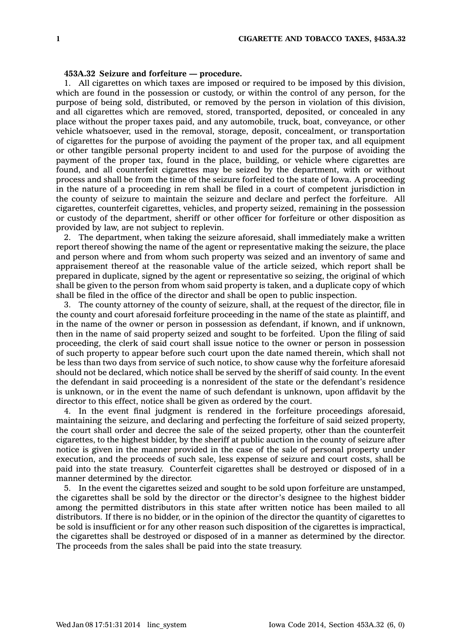## **453A.32 Seizure and forfeiture — procedure.**

1. All cigarettes on which taxes are imposed or required to be imposed by this division, which are found in the possession or custody, or within the control of any person, for the purpose of being sold, distributed, or removed by the person in violation of this division, and all cigarettes which are removed, stored, transported, deposited, or concealed in any place without the proper taxes paid, and any automobile, truck, boat, conveyance, or other vehicle whatsoever, used in the removal, storage, deposit, concealment, or transportation of cigarettes for the purpose of avoiding the payment of the proper tax, and all equipment or other tangible personal property incident to and used for the purpose of avoiding the payment of the proper tax, found in the place, building, or vehicle where cigarettes are found, and all counterfeit cigarettes may be seized by the department, with or without process and shall be from the time of the seizure forfeited to the state of Iowa. A proceeding in the nature of <sup>a</sup> proceeding in rem shall be filed in <sup>a</sup> court of competent jurisdiction in the county of seizure to maintain the seizure and declare and perfect the forfeiture. All cigarettes, counterfeit cigarettes, vehicles, and property seized, remaining in the possession or custody of the department, sheriff or other officer for forfeiture or other disposition as provided by law, are not subject to replevin.

2. The department, when taking the seizure aforesaid, shall immediately make <sup>a</sup> written report thereof showing the name of the agent or representative making the seizure, the place and person where and from whom such property was seized and an inventory of same and appraisement thereof at the reasonable value of the article seized, which report shall be prepared in duplicate, signed by the agent or representative so seizing, the original of which shall be given to the person from whom said property is taken, and <sup>a</sup> duplicate copy of which shall be filed in the office of the director and shall be open to public inspection.

3. The county attorney of the county of seizure, shall, at the request of the director, file in the county and court aforesaid forfeiture proceeding in the name of the state as plaintiff, and in the name of the owner or person in possession as defendant, if known, and if unknown, then in the name of said property seized and sought to be forfeited. Upon the filing of said proceeding, the clerk of said court shall issue notice to the owner or person in possession of such property to appear before such court upon the date named therein, which shall not be less than two days from service of such notice, to show cause why the forfeiture aforesaid should not be declared, which notice shall be served by the sheriff of said county. In the event the defendant in said proceeding is <sup>a</sup> nonresident of the state or the defendant's residence is unknown, or in the event the name of such defendant is unknown, upon affidavit by the director to this effect, notice shall be given as ordered by the court.

4. In the event final judgment is rendered in the forfeiture proceedings aforesaid, maintaining the seizure, and declaring and perfecting the forfeiture of said seized property, the court shall order and decree the sale of the seized property, other than the counterfeit cigarettes, to the highest bidder, by the sheriff at public auction in the county of seizure after notice is given in the manner provided in the case of the sale of personal property under execution, and the proceeds of such sale, less expense of seizure and court costs, shall be paid into the state treasury. Counterfeit cigarettes shall be destroyed or disposed of in <sup>a</sup> manner determined by the director.

5. In the event the cigarettes seized and sought to be sold upon forfeiture are unstamped, the cigarettes shall be sold by the director or the director's designee to the highest bidder among the permitted distributors in this state after written notice has been mailed to all distributors. If there is no bidder, or in the opinion of the director the quantity of cigarettes to be sold is insufficient or for any other reason such disposition of the cigarettes is impractical, the cigarettes shall be destroyed or disposed of in <sup>a</sup> manner as determined by the director. The proceeds from the sales shall be paid into the state treasury.